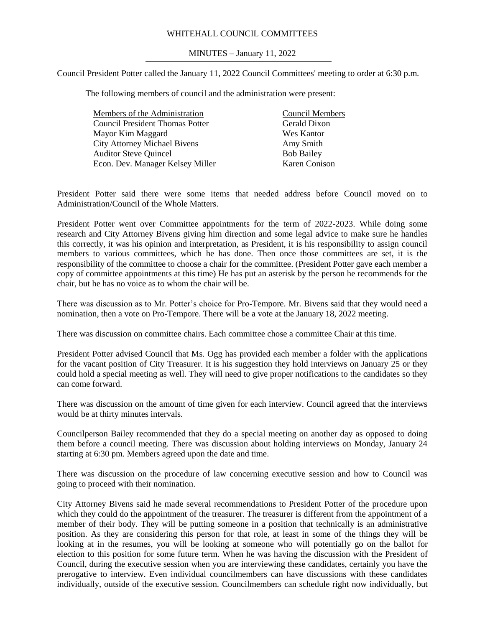## WHITEHALL COUNCIL COMMITTEES

### MINUTES – January 11, 2022

Council President Potter called the January 11, 2022 Council Committees' meeting to order at 6:30 p.m.

The following members of council and the administration were present:

| Members of the Administration<br><b>Council Members</b> |                      |
|---------------------------------------------------------|----------------------|
| <b>Council President Thomas Potter</b>                  | Gerald Dixon         |
| Mayor Kim Maggard                                       | Wes Kantor           |
| <b>City Attorney Michael Bivens</b><br>Amy Smith        |                      |
| <b>Auditor Steve Quincel</b><br><b>Bob Bailey</b>       |                      |
| Econ. Dev. Manager Kelsey Miller                        | <b>Karen Conison</b> |

President Potter said there were some items that needed address before Council moved on to Administration/Council of the Whole Matters.

President Potter went over Committee appointments for the term of 2022-2023. While doing some research and City Attorney Bivens giving him direction and some legal advice to make sure he handles this correctly, it was his opinion and interpretation, as President, it is his responsibility to assign council members to various committees, which he has done. Then once those committees are set, it is the responsibility of the committee to choose a chair for the committee. (President Potter gave each member a copy of committee appointments at this time) He has put an asterisk by the person he recommends for the chair, but he has no voice as to whom the chair will be.

There was discussion as to Mr. Potter's choice for Pro-Tempore. Mr. Bivens said that they would need a nomination, then a vote on Pro-Tempore. There will be a vote at the January 18, 2022 meeting.

There was discussion on committee chairs. Each committee chose a committee Chair at this time.

President Potter advised Council that Ms. Ogg has provided each member a folder with the applications for the vacant position of City Treasurer. It is his suggestion they hold interviews on January 25 or they could hold a special meeting as well. They will need to give proper notifications to the candidates so they can come forward.

There was discussion on the amount of time given for each interview. Council agreed that the interviews would be at thirty minutes intervals.

Councilperson Bailey recommended that they do a special meeting on another day as opposed to doing them before a council meeting. There was discussion about holding interviews on Monday, January 24 starting at 6:30 pm. Members agreed upon the date and time.

There was discussion on the procedure of law concerning executive session and how to Council was going to proceed with their nomination.

City Attorney Bivens said he made several recommendations to President Potter of the procedure upon which they could do the appointment of the treasurer. The treasurer is different from the appointment of a member of their body. They will be putting someone in a position that technically is an administrative position. As they are considering this person for that role, at least in some of the things they will be looking at in the resumes, you will be looking at someone who will potentially go on the ballot for election to this position for some future term. When he was having the discussion with the President of Council, during the executive session when you are interviewing these candidates, certainly you have the prerogative to interview. Even individual councilmembers can have discussions with these candidates individually, outside of the executive session. Councilmembers can schedule right now individually, but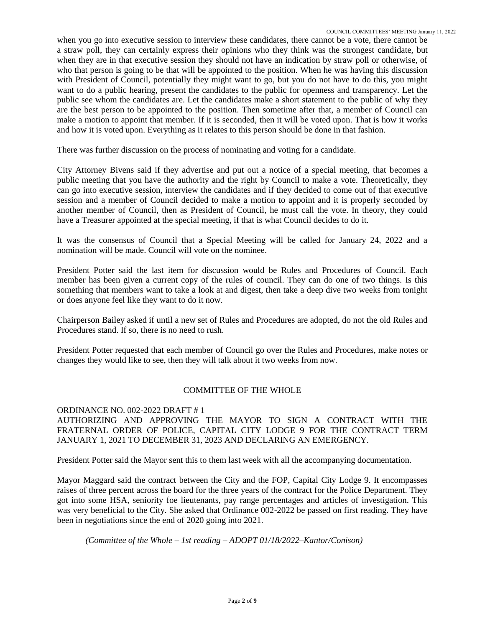when you go into executive session to interview these candidates, there cannot be a vote, there cannot be a straw poll, they can certainly express their opinions who they think was the strongest candidate, but when they are in that executive session they should not have an indication by straw poll or otherwise, of who that person is going to be that will be appointed to the position. When he was having this discussion with President of Council, potentially they might want to go, but you do not have to do this, you might want to do a public hearing, present the candidates to the public for openness and transparency. Let the public see whom the candidates are. Let the candidates make a short statement to the public of why they are the best person to be appointed to the position. Then sometime after that, a member of Council can make a motion to appoint that member. If it is seconded, then it will be voted upon. That is how it works and how it is voted upon. Everything as it relates to this person should be done in that fashion.

There was further discussion on the process of nominating and voting for a candidate.

City Attorney Bivens said if they advertise and put out a notice of a special meeting, that becomes a public meeting that you have the authority and the right by Council to make a vote. Theoretically, they can go into executive session, interview the candidates and if they decided to come out of that executive session and a member of Council decided to make a motion to appoint and it is properly seconded by another member of Council, then as President of Council, he must call the vote. In theory, they could have a Treasurer appointed at the special meeting, if that is what Council decides to do it.

It was the consensus of Council that a Special Meeting will be called for January 24, 2022 and a nomination will be made. Council will vote on the nominee.

President Potter said the last item for discussion would be Rules and Procedures of Council. Each member has been given a current copy of the rules of council. They can do one of two things. Is this something that members want to take a look at and digest, then take a deep dive two weeks from tonight or does anyone feel like they want to do it now.

Chairperson Bailey asked if until a new set of Rules and Procedures are adopted, do not the old Rules and Procedures stand. If so, there is no need to rush.

President Potter requested that each member of Council go over the Rules and Procedures, make notes or changes they would like to see, then they will talk about it two weeks from now.

# COMMITTEE OF THE WHOLE

# ORDINANCE NO. 002-2022 DRAFT # 1

AUTHORIZING AND APPROVING THE MAYOR TO SIGN A CONTRACT WITH THE FRATERNAL ORDER OF POLICE, CAPITAL CITY LODGE 9 FOR THE CONTRACT TERM JANUARY 1, 2021 TO DECEMBER 31, 2023 AND DECLARING AN EMERGENCY.

President Potter said the Mayor sent this to them last week with all the accompanying documentation.

Mayor Maggard said the contract between the City and the FOP, Capital City Lodge 9. It encompasses raises of three percent across the board for the three years of the contract for the Police Department. They got into some HSA, seniority foe lieutenants, pay range percentages and articles of investigation. This was very beneficial to the City. She asked that Ordinance 002-2022 be passed on first reading. They have been in negotiations since the end of 2020 going into 2021.

*(Committee of the Whole – 1st reading – ADOPT 01/18/2022–Kantor/Conison)*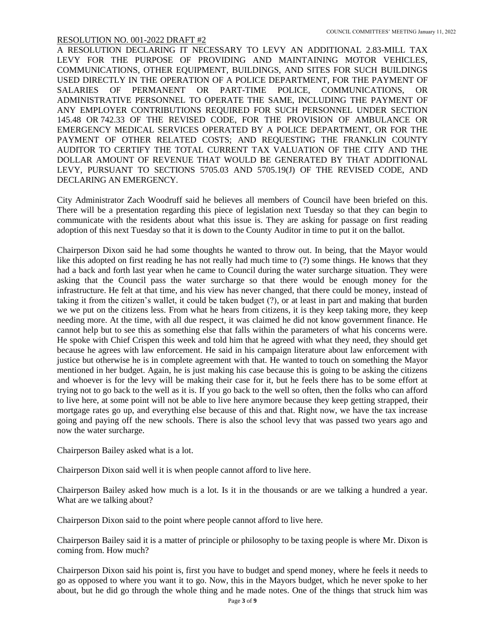A RESOLUTION DECLARING IT NECESSARY TO LEVY AN ADDITIONAL 2.83-MILL TAX LEVY FOR THE PURPOSE OF PROVIDING AND MAINTAINING MOTOR VEHICLES, COMMUNICATIONS, OTHER EQUIPMENT, BUILDINGS, AND SITES FOR SUCH BUILDINGS USED DIRECTLY IN THE OPERATION OF A POLICE DEPARTMENT, FOR THE PAYMENT OF SALARIES OF PERMANENT OR PART-TIME POLICE, COMMUNICATIONS, OR ADMINISTRATIVE PERSONNEL TO OPERATE THE SAME, INCLUDING THE PAYMENT OF ANY EMPLOYER CONTRIBUTIONS REQUIRED FOR SUCH PERSONNEL UNDER SECTION 145.48 OR 742.33 OF THE REVISED CODE, FOR THE PROVISION OF AMBULANCE OR EMERGENCY MEDICAL SERVICES OPERATED BY A POLICE DEPARTMENT, OR FOR THE PAYMENT OF OTHER RELATED COSTS; AND REQUESTING THE FRANKLIN COUNTY AUDITOR TO CERTIFY THE TOTAL CURRENT TAX VALUATION OF THE CITY AND THE DOLLAR AMOUNT OF REVENUE THAT WOULD BE GENERATED BY THAT ADDITIONAL LEVY, PURSUANT TO SECTIONS 5705.03 AND 5705.19(J) OF THE REVISED CODE, AND DECLARING AN EMERGENCY.

City Administrator Zach Woodruff said he believes all members of Council have been briefed on this. There will be a presentation regarding this piece of legislation next Tuesday so that they can begin to communicate with the residents about what this issue is. They are asking for passage on first reading adoption of this next Tuesday so that it is down to the County Auditor in time to put it on the ballot.

Chairperson Dixon said he had some thoughts he wanted to throw out. In being, that the Mayor would like this adopted on first reading he has not really had much time to (?) some things. He knows that they had a back and forth last year when he came to Council during the water surcharge situation. They were asking that the Council pass the water surcharge so that there would be enough money for the infrastructure. He felt at that time, and his view has never changed, that there could be money, instead of taking it from the citizen's wallet, it could be taken budget (?), or at least in part and making that burden we we put on the citizens less. From what he hears from citizens, it is they keep taking more, they keep needing more. At the time, with all due respect, it was claimed he did not know government finance. He cannot help but to see this as something else that falls within the parameters of what his concerns were. He spoke with Chief Crispen this week and told him that he agreed with what they need, they should get because he agrees with law enforcement. He said in his campaign literature about law enforcement with justice but otherwise he is in complete agreement with that. He wanted to touch on something the Mayor mentioned in her budget. Again, he is just making his case because this is going to be asking the citizens and whoever is for the levy will be making their case for it, but he feels there has to be some effort at trying not to go back to the well as it is. If you go back to the well so often, then the folks who can afford to live here, at some point will not be able to live here anymore because they keep getting strapped, their mortgage rates go up, and everything else because of this and that. Right now, we have the tax increase going and paying off the new schools. There is also the school levy that was passed two years ago and now the water surcharge.

Chairperson Bailey asked what is a lot.

Chairperson Dixon said well it is when people cannot afford to live here.

Chairperson Bailey asked how much is a lot. Is it in the thousands or are we talking a hundred a year. What are we talking about?

Chairperson Dixon said to the point where people cannot afford to live here.

Chairperson Bailey said it is a matter of principle or philosophy to be taxing people is where Mr. Dixon is coming from. How much?

Chairperson Dixon said his point is, first you have to budget and spend money, where he feels it needs to go as opposed to where you want it to go. Now, this in the Mayors budget, which he never spoke to her about, but he did go through the whole thing and he made notes. One of the things that struck him was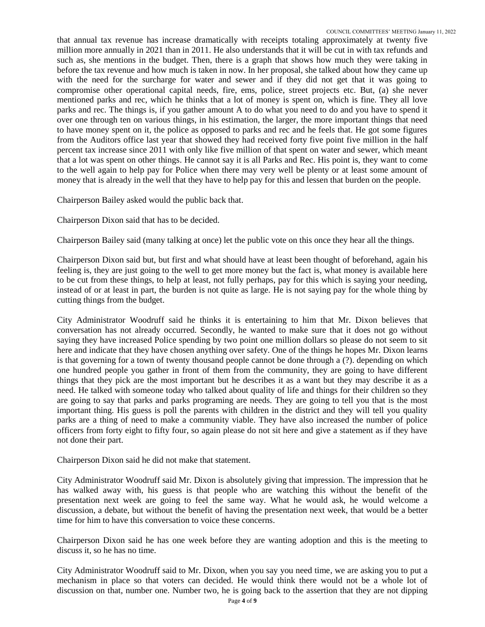that annual tax revenue has increase dramatically with receipts totaling approximately at twenty five million more annually in 2021 than in 2011. He also understands that it will be cut in with tax refunds and such as, she mentions in the budget. Then, there is a graph that shows how much they were taking in before the tax revenue and how much is taken in now. In her proposal, she talked about how they came up with the need for the surcharge for water and sewer and if they did not get that it was going to compromise other operational capital needs, fire, ems, police, street projects etc. But, (a) she never mentioned parks and rec, which he thinks that a lot of money is spent on, which is fine. They all love parks and rec. The things is, if you gather amount A to do what you need to do and you have to spend it over one through ten on various things, in his estimation, the larger, the more important things that need to have money spent on it, the police as opposed to parks and rec and he feels that. He got some figures from the Auditors office last year that showed they had received forty five point five million in the half percent tax increase since 2011 with only like five million of that spent on water and sewer, which meant that a lot was spent on other things. He cannot say it is all Parks and Rec. His point is, they want to come to the well again to help pay for Police when there may very well be plenty or at least some amount of money that is already in the well that they have to help pay for this and lessen that burden on the people.

Chairperson Bailey asked would the public back that.

Chairperson Dixon said that has to be decided.

Chairperson Bailey said (many talking at once) let the public vote on this once they hear all the things.

Chairperson Dixon said but, but first and what should have at least been thought of beforehand, again his feeling is, they are just going to the well to get more money but the fact is, what money is available here to be cut from these things, to help at least, not fully perhaps, pay for this which is saying your needing, instead of or at least in part, the burden is not quite as large. He is not saying pay for the whole thing by cutting things from the budget.

City Administrator Woodruff said he thinks it is entertaining to him that Mr. Dixon believes that conversation has not already occurred. Secondly, he wanted to make sure that it does not go without saying they have increased Police spending by two point one million dollars so please do not seem to sit here and indicate that they have chosen anything over safety. One of the things he hopes Mr. Dixon learns is that governing for a town of twenty thousand people cannot be done through a (?). depending on which one hundred people you gather in front of them from the community, they are going to have different things that they pick are the most important but he describes it as a want but they may describe it as a need. He talked with someone today who talked about quality of life and things for their children so they are going to say that parks and parks programing are needs. They are going to tell you that is the most important thing. His guess is poll the parents with children in the district and they will tell you quality parks are a thing of need to make a community viable. They have also increased the number of police officers from forty eight to fifty four, so again please do not sit here and give a statement as if they have not done their part.

Chairperson Dixon said he did not make that statement.

City Administrator Woodruff said Mr. Dixon is absolutely giving that impression. The impression that he has walked away with, his guess is that people who are watching this without the benefit of the presentation next week are going to feel the same way. What he would ask, he would welcome a discussion, a debate, but without the benefit of having the presentation next week, that would be a better time for him to have this conversation to voice these concerns.

Chairperson Dixon said he has one week before they are wanting adoption and this is the meeting to discuss it, so he has no time.

City Administrator Woodruff said to Mr. Dixon, when you say you need time, we are asking you to put a mechanism in place so that voters can decided. He would think there would not be a whole lot of discussion on that, number one. Number two, he is going back to the assertion that they are not dipping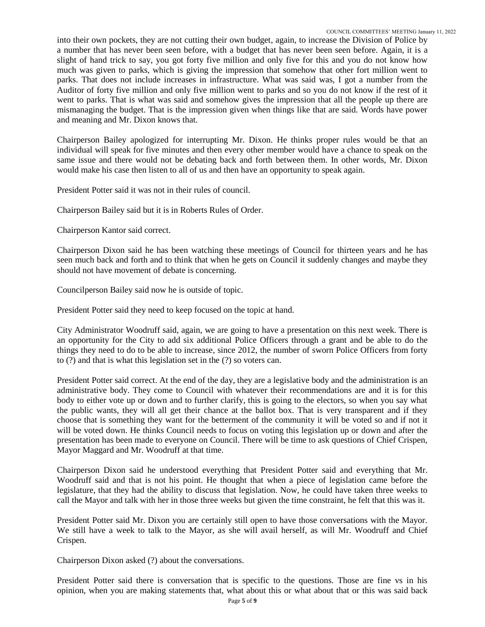into their own pockets, they are not cutting their own budget, again, to increase the Division of Police by a number that has never been seen before, with a budget that has never been seen before. Again, it is a slight of hand trick to say, you got forty five million and only five for this and you do not know how much was given to parks, which is giving the impression that somehow that other fort million went to parks. That does not include increases in infrastructure. What was said was, I got a number from the Auditor of forty five million and only five million went to parks and so you do not know if the rest of it went to parks. That is what was said and somehow gives the impression that all the people up there are mismanaging the budget. That is the impression given when things like that are said. Words have power and meaning and Mr. Dixon knows that.

Chairperson Bailey apologized for interrupting Mr. Dixon. He thinks proper rules would be that an individual will speak for five minutes and then every other member would have a chance to speak on the same issue and there would not be debating back and forth between them. In other words, Mr. Dixon would make his case then listen to all of us and then have an opportunity to speak again.

President Potter said it was not in their rules of council.

Chairperson Bailey said but it is in Roberts Rules of Order.

Chairperson Kantor said correct.

Chairperson Dixon said he has been watching these meetings of Council for thirteen years and he has seen much back and forth and to think that when he gets on Council it suddenly changes and maybe they should not have movement of debate is concerning.

Councilperson Bailey said now he is outside of topic.

President Potter said they need to keep focused on the topic at hand.

City Administrator Woodruff said, again, we are going to have a presentation on this next week. There is an opportunity for the City to add six additional Police Officers through a grant and be able to do the things they need to do to be able to increase, since 2012, the number of sworn Police Officers from forty to (?) and that is what this legislation set in the (?) so voters can.

President Potter said correct. At the end of the day, they are a legislative body and the administration is an administrative body. They come to Council with whatever their recommendations are and it is for this body to either vote up or down and to further clarify, this is going to the electors, so when you say what the public wants, they will all get their chance at the ballot box. That is very transparent and if they choose that is something they want for the betterment of the community it will be voted so and if not it will be voted down. He thinks Council needs to focus on voting this legislation up or down and after the presentation has been made to everyone on Council. There will be time to ask questions of Chief Crispen, Mayor Maggard and Mr. Woodruff at that time.

Chairperson Dixon said he understood everything that President Potter said and everything that Mr. Woodruff said and that is not his point. He thought that when a piece of legislation came before the legislature, that they had the ability to discuss that legislation. Now, he could have taken three weeks to call the Mayor and talk with her in those three weeks but given the time constraint, he felt that this was it.

President Potter said Mr. Dixon you are certainly still open to have those conversations with the Mayor. We still have a week to talk to the Mayor, as she will avail herself, as will Mr. Woodruff and Chief Crispen.

Chairperson Dixon asked (?) about the conversations.

President Potter said there is conversation that is specific to the questions. Those are fine vs in his opinion, when you are making statements that, what about this or what about that or this was said back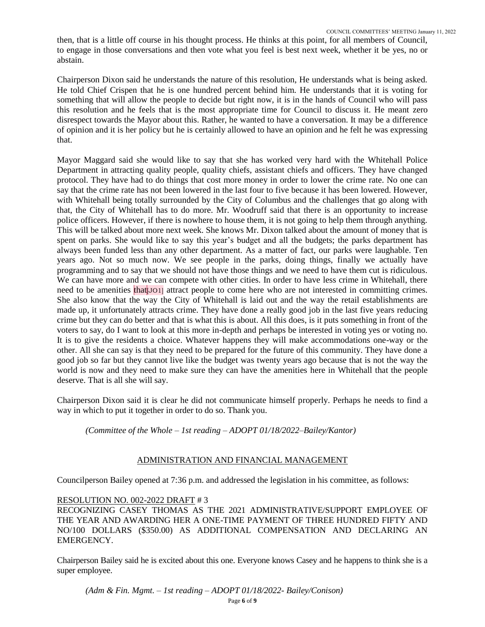then, that is a little off course in his thought process. He thinks at this point, for all members of Council, to engage in those conversations and then vote what you feel is best next week, whether it be yes, no or abstain.

Chairperson Dixon said he understands the nature of this resolution, He understands what is being asked. He told Chief Crispen that he is one hundred percent behind him. He understands that it is voting for something that will allow the people to decide but right now, it is in the hands of Council who will pass this resolution and he feels that is the most appropriate time for Council to discuss it. He meant zero disrespect towards the Mayor about this. Rather, he wanted to have a conversation. It may be a difference of opinion and it is her policy but he is certainly allowed to have an opinion and he felt he was expressing that.

Mayor Maggard said she would like to say that she has worked very hard with the Whitehall Police Department in attracting quality people, quality chiefs, assistant chiefs and officers. They have changed protocol. They have had to do things that cost more money in order to lower the crime rate. No one can say that the crime rate has not been lowered in the last four to five because it has been lowered. However, with Whitehall being totally surrounded by the City of Columbus and the challenges that go along with that, the City of Whitehall has to do more. Mr. Woodruff said that there is an opportunity to increase police officers. However, if there is nowhere to house them, it is not going to help them through anything. This will be talked about more next week. She knows Mr. Dixon talked about the amount of money that is spent on parks. She would like to say this year's budget and all the budgets; the parks department has always been funded less than any other department. As a matter of fact, our parks were laughable. Ten years ago. Not so much now. We see people in the parks, doing things, finally we actually have programming and to say that we should not have those things and we need to have them cut is ridiculous. We can have more and we can compete with other cities. In order to have less crime in Whitehall, there need to be amenities that  $J$ O<sub>1</sub>] attract people to come here who are not interested in committing crimes. She also know that the way the City of Whitehall is laid out and the way the retail establishments are made up, it unfortunately attracts crime. They have done a really good job in the last five years reducing crime but they can do better and that is what this is about. All this does, is it puts something in front of the voters to say, do I want to look at this more in-depth and perhaps be interested in voting yes or voting no. It is to give the residents a choice. Whatever happens they will make accommodations one-way or the other. All she can say is that they need to be prepared for the future of this community. They have done a good job so far but they cannot live like the budget was twenty years ago because that is not the way the world is now and they need to make sure they can have the amenities here in Whitehall that the people deserve. That is all she will say.

Chairperson Dixon said it is clear he did not communicate himself properly. Perhaps he needs to find a way in which to put it together in order to do so. Thank you.

*(Committee of the Whole – 1st reading – ADOPT 01/18/2022–Bailey/Kantor)*

# ADMINISTRATION AND FINANCIAL MANAGEMENT

Councilperson Bailey opened at 7:36 p.m. and addressed the legislation in his committee, as follows:

### RESOLUTION NO. 002-2022 DRAFT # 3

RECOGNIZING CASEY THOMAS AS THE 2021 ADMINISTRATIVE/SUPPORT EMPLOYEE OF THE YEAR AND AWARDING HER A ONE-TIME PAYMENT OF THREE HUNDRED FIFTY AND NO/100 DOLLARS (\$350.00) AS ADDITIONAL COMPENSATION AND DECLARING AN EMERGENCY.

Chairperson Bailey said he is excited about this one. Everyone knows Casey and he happens to think she is a super employee.

*(Adm & Fin. Mgmt. – 1st reading – ADOPT 01/18/2022- Bailey/Conison)*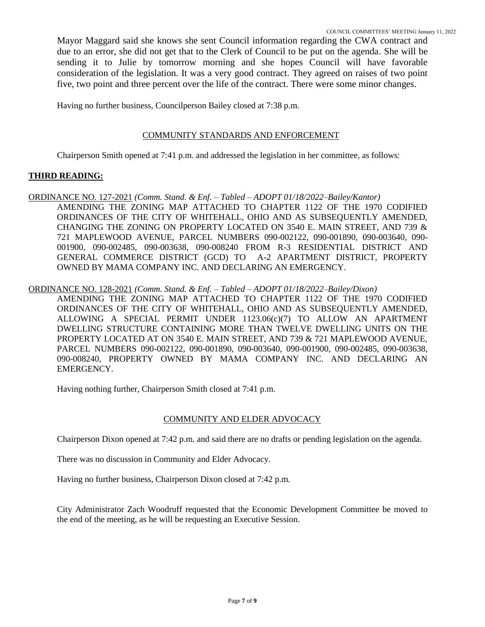Mayor Maggard said she knows she sent Council information regarding the CWA contract and due to an error, she did not get that to the Clerk of Council to be put on the agenda. She will be sending it to Julie by tomorrow morning and she hopes Council will have favorable consideration of the legislation. It was a very good contract. They agreed on raises of two point five, two point and three percent over the life of the contract. There were some minor changes.

Having no further business, Councilperson Bailey closed at 7:38 p.m.

## COMMUNITY STANDARDS AND ENFORCEMENT

Chairperson Smith opened at 7:41 p.m. and addressed the legislation in her committee, as follows:

## **THIRD READING:**

ORDINANCE NO. 127-2021 *(Comm. Stand. & Enf. – Tabled – ADOPT 01/18/2022–Bailey/Kantor)* AMENDING THE ZONING MAP ATTACHED TO CHAPTER 1122 OF THE 1970 CODIFIED ORDINANCES OF THE CITY OF WHITEHALL, OHIO AND AS SUBSEQUENTLY AMENDED, CHANGING THE ZONING ON PROPERTY LOCATED ON 3540 E. MAIN STREET, AND 739 & 721 MAPLEWOOD AVENUE, PARCEL NUMBERS 090-002122, 090-001890, 090-003640, 090- 001900, 090-002485, 090-003638, 090-008240 FROM R-3 RESIDENTIAL DISTRICT AND GENERAL COMMERCE DISTRICT (GCD) TO A-2 APARTMENT DISTRICT, PROPERTY OWNED BY MAMA COMPANY INC. AND DECLARING AN EMERGENCY.

## ORDINANCE NO. 128-2021 *(Comm. Stand. & Enf. – Tabled – ADOPT 01/18/2022–Bailey/Dixon)*

AMENDING THE ZONING MAP ATTACHED TO CHAPTER 1122 OF THE 1970 CODIFIED ORDINANCES OF THE CITY OF WHITEHALL, OHIO AND AS SUBSEQUENTLY AMENDED, ALLOWING A SPECIAL PERMIT UNDER 1123.06(c)(7) TO ALLOW AN APARTMENT DWELLING STRUCTURE CONTAINING MORE THAN TWELVE DWELLING UNITS ON THE PROPERTY LOCATED AT ON 3540 E. MAIN STREET, AND 739 & 721 MAPLEWOOD AVENUE, PARCEL NUMBERS 090-002122, 090-001890, 090-003640, 090-001900, 090-002485, 090-003638, 090-008240, PROPERTY OWNED BY MAMA COMPANY INC. AND DECLARING AN EMERGENCY.

Having nothing further, Chairperson Smith closed at 7:41 p.m.

# COMMUNITY AND ELDER ADVOCACY

Chairperson Dixon opened at 7:42 p.m. and said there are no drafts or pending legislation on the agenda.

There was no discussion in Community and Elder Advocacy.

Having no further business, Chairperson Dixon closed at 7:42 p.m.

City Administrator Zach Woodruff requested that the Economic Development Committee be moved to the end of the meeting, as he will be requesting an Executive Session.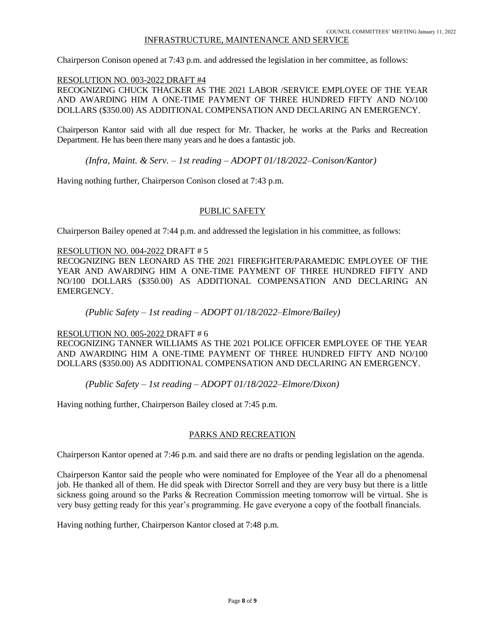# INFRASTRUCTURE, MAINTENANCE AND SERVICE

Chairperson Conison opened at 7:43 p.m. and addressed the legislation in her committee, as follows:

#### RESOLUTION NO. 003-2022 DRAFT #4

RECOGNIZING CHUCK THACKER AS THE 2021 LABOR /SERVICE EMPLOYEE OF THE YEAR AND AWARDING HIM A ONE-TIME PAYMENT OF THREE HUNDRED FIFTY AND NO/100 DOLLARS (\$350.00) AS ADDITIONAL COMPENSATION AND DECLARING AN EMERGENCY.

Chairperson Kantor said with all due respect for Mr. Thacker, he works at the Parks and Recreation Department. He has been there many years and he does a fantastic job.

*(Infra, Maint. & Serv. – 1st reading – ADOPT 01/18/2022–Conison/Kantor)*

Having nothing further, Chairperson Conison closed at 7:43 p.m.

### PUBLIC SAFETY

Chairperson Bailey opened at 7:44 p.m. and addressed the legislation in his committee, as follows:

#### RESOLUTION NO. 004-2022 DRAFT # 5

RECOGNIZING BEN LEONARD AS THE 2021 FIREFIGHTER/PARAMEDIC EMPLOYEE OF THE YEAR AND AWARDING HIM A ONE-TIME PAYMENT OF THREE HUNDRED FIFTY AND NO/100 DOLLARS (\$350.00) AS ADDITIONAL COMPENSATION AND DECLARING AN EMERGENCY.

*(Public Safety – 1st reading – ADOPT 01/18/2022–Elmore/Bailey)*

#### RESOLUTION NO. 005-2022 DRAFT # 6

RECOGNIZING TANNER WILLIAMS AS THE 2021 POLICE OFFICER EMPLOYEE OF THE YEAR AND AWARDING HIM A ONE-TIME PAYMENT OF THREE HUNDRED FIFTY AND NO/100 DOLLARS (\$350.00) AS ADDITIONAL COMPENSATION AND DECLARING AN EMERGENCY.

*(Public Safety – 1st reading – ADOPT 01/18/2022–Elmore/Dixon)*

Having nothing further, Chairperson Bailey closed at 7:45 p.m.

### PARKS AND RECREATION

Chairperson Kantor opened at 7:46 p.m. and said there are no drafts or pending legislation on the agenda.

Chairperson Kantor said the people who were nominated for Employee of the Year all do a phenomenal job. He thanked all of them. He did speak with Director Sorrell and they are very busy but there is a little sickness going around so the Parks  $\&$  Recreation Commission meeting tomorrow will be virtual. She is very busy getting ready for this year's programming. He gave everyone a copy of the football financials.

Having nothing further, Chairperson Kantor closed at 7:48 p.m.